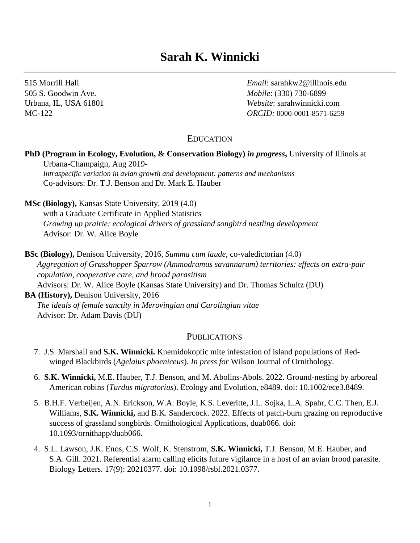# **Sarah K. Winnicki**

515 Morrill Hall *Email*: sarahkw2@illinois.edu 505 S. Goodwin Ave. *Mobile*: (330) 730-6899 Urbana, IL, USA 61801 *Website*: sarahwinnicki.com MC-122 *ORCID:* 0000-0001-8571-6259

## EDUCATION

## **PhD (Program in Ecology, Evolution, & Conservation Biology)** *in progress***,** University of Illinois at Urbana-Champaign, Aug 2019-

*Intraspecific variation in avian growth and development: patterns and mechanisms* Co-advisors: Dr. T.J. Benson and Dr. Mark E. Hauber

**MSc (Biology),** Kansas State University, 2019 (4.0)

with a Graduate Certificate in Applied Statistics *Growing up prairie: ecological drivers of grassland songbird nestling development* Advisor: Dr. W. Alice Boyle

**BSc (Biology),** Denison University, 2016, *Summa cum laude,* co-valedictorian (4.0) *Aggregation of Grasshopper Sparrow (Ammodramus savannarum) territories: effects on extra-pair copulation, cooperative care, and brood parasitism* Advisors: Dr. W. Alice Boyle (Kansas State University) and Dr. Thomas Schultz (DU) **BA (History),** Denison University, 2016 *The ideals of female sanctity in Merovingian and Carolingian vitae* Advisor: Dr. Adam Davis (DU)

#### **PUBLICATIONS**

- 7. J.S. Marshall and **S.K. Winnicki.** Knemidokoptic mite infestation of island populations of Redwinged Blackbirds (*Agelaius phoeniceus*). *In press for* Wilson Journal of Ornithology.
- 6. **S.K. Winnicki,** M.E. Hauber, T.J. Benson, and M. Abolins-Abols. 2022. Ground-nesting by arboreal American robins (*Turdus migratorius*). Ecology and Evolution, e8489. doi: 10.1002/ece3.8489.
- 5. B.H.F. Verheijen, A.N. Erickson, W.A. Boyle, K.S. Leveritte, J.L. Sojka, L.A. Spahr, C.C. Then, E.J. Williams, **S.K. Winnicki,** and B.K. Sandercock. 2022. Effects of patch-burn grazing on reproductive success of grassland songbirds. Ornithological Applications, duab066. doi: 10.1093/ornithapp/duab066.
- 4. S.L. Lawson, J.K. Enos, C.S. Wolf, K. Stenstrom, **S.K. Winnicki,** T.J. Benson, M.E. Hauber, and S.A. Gill. 2021. Referential alarm calling elicits future vigilance in a host of an avian brood parasite. Biology Letters. 17(9): 20210377. doi: 10.1098/rsbl.2021.0377.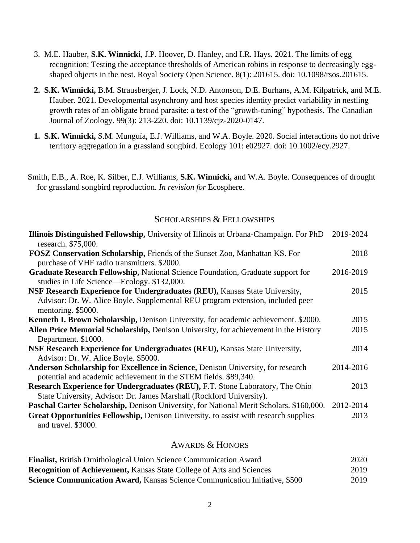- 3. M.E. Hauber, **S.K. Winnicki**, J.P. Hoover, D. Hanley, and I.R. Hays. 2021. The limits of egg recognition: Testing the acceptance thresholds of American robins in response to decreasingly eggshaped objects in the nest. Royal Society Open Science. 8(1): 201615. doi: 10.1098/rsos.201615.
- **2. S.K. Winnicki,** B.M. Strausberger, J. Lock, N.D. Antonson, D.E. Burhans, A.M. Kilpatrick, and M.E. Hauber. 2021. Developmental asynchrony and host species identity predict variability in nestling growth rates of an obligate brood parasite: a test of the "growth-tuning" hypothesis. The Canadian Journal of Zoology. 99(3): 213-220. doi: 10.1139/cjz-2020-0147.
- **1. S.K. Winnicki,** S.M. Munguía, E.J. Williams, and W.A. Boyle. 2020. Social interactions do not drive territory aggregation in a grassland songbird. Ecology 101: e02927. doi: 10.1002/ecy.2927.
- Smith, E.B., A. Roe, K. Silber, E.J. Williams, **S.K. Winnicki,** and W.A. Boyle. Consequences of drought for grassland songbird reproduction. *In revision for* Ecosphere.

## SCHOLARSHIPS & FELLOWSHIPS

| <b>Illinois Distinguished Fellowship, University of Illinois at Urbana-Champaign. For PhD</b>  | 2019-2024 |
|------------------------------------------------------------------------------------------------|-----------|
| research. \$75,000.                                                                            |           |
| <b>FOSZ Conservation Scholarship, Friends of the Sunset Zoo, Manhattan KS. For</b>             | 2018      |
| purchase of VHF radio transmitters. \$2000.                                                    |           |
| <b>Graduate Research Fellowship, National Science Foundation, Graduate support for</b>         | 2016-2019 |
| studies in Life Science—Ecology. \$132,000.                                                    |           |
| <b>NSF Research Experience for Undergraduates (REU), Kansas State University,</b>              | 2015      |
| Advisor: Dr. W. Alice Boyle. Supplemental REU program extension, included peer                 |           |
| mentoring. \$5000.                                                                             |           |
| <b>Kenneth I. Brown Scholarship, Denison University, for academic achievement. \$2000.</b>     | 2015      |
| Allen Price Memorial Scholarship, Denison University, for achievement in the History           | 2015      |
| Department. \$1000.                                                                            |           |
| NSF Research Experience for Undergraduates (REU), Kansas State University,                     | 2014      |
| Advisor: Dr. W. Alice Boyle. \$5000.                                                           |           |
| <b>Anderson Scholarship for Excellence in Science, Denison University, for research</b>        | 2014-2016 |
| potential and academic achievement in the STEM fields. \$89,340.                               |           |
| <b>Research Experience for Undergraduates (REU), F.T. Stone Laboratory, The Ohio</b>           | 2013      |
| State University, Advisor: Dr. James Marshall (Rockford University).                           |           |
| <b>Paschal Carter Scholarship, Denison University, for National Merit Scholars. \$160,000.</b> | 2012-2014 |
| <b>Great Opportunities Fellowship, Denison University, to assist with research supplies</b>    | 2013      |
| and travel. \$3000.                                                                            |           |
|                                                                                                |           |

## AWARDS & HONORS

| <b>Finalist, British Ornithological Union Science Communication Award</b>          | 2020 |
|------------------------------------------------------------------------------------|------|
| <b>Recognition of Achievement, Kansas State College of Arts and Sciences</b>       | 2019 |
| <b>Science Communication Award, Kansas Science Communication Initiative, \$500</b> | 2019 |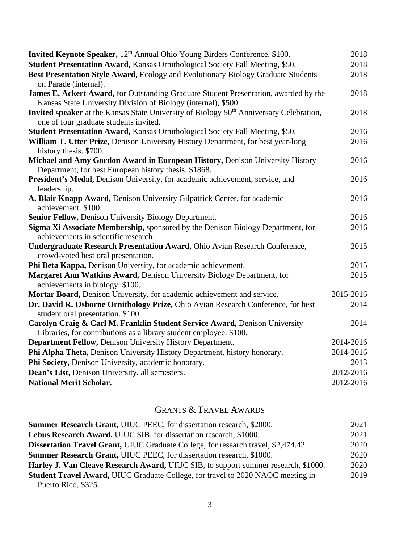| Invited Keynote Speaker, 12 <sup>th</sup> Annual Ohio Young Birders Conference, \$100.                     | 2018      |
|------------------------------------------------------------------------------------------------------------|-----------|
| Student Presentation Award, Kansas Ornithological Society Fall Meeting, \$50.                              | 2018      |
| Best Presentation Style Award, Ecology and Evolutionary Biology Graduate Students                          | 2018      |
| on Parade (internal).                                                                                      |           |
| James E. Ackert Award, for Outstanding Graduate Student Presentation, awarded by the                       | 2018      |
| Kansas State University Division of Biology (internal), \$500.                                             |           |
| <b>Invited speaker</b> at the Kansas State University of Biology 50 <sup>th</sup> Anniversary Celebration, | 2018      |
| one of four graduate students invited.                                                                     |           |
| Student Presentation Award, Kansas Ornithological Society Fall Meeting, \$50.                              | 2016      |
| William T. Utter Prize, Denison University History Department, for best year-long                          | 2016      |
| history thesis. \$700.                                                                                     |           |
| Michael and Amy Gordon Award in European History, Denison University History                               | 2016      |
| Department, for best European history thesis. \$1868.                                                      |           |
| President's Medal, Denison University, for academic achievement, service, and                              | 2016      |
| leadership.                                                                                                |           |
| A. Blair Knapp Award, Denison University Gilpatrick Center, for academic                                   | 2016      |
| achievement. \$100.                                                                                        |           |
| Senior Fellow, Denison University Biology Department.                                                      | 2016      |
| Sigma Xi Associate Membership, sponsored by the Denison Biology Department, for                            | 2016      |
| achievements in scientific research.                                                                       |           |
| Undergraduate Research Presentation Award, Ohio Avian Research Conference,                                 | 2015      |
| crowd-voted best oral presentation.                                                                        |           |
| Phi Beta Kappa, Denison University, for academic achievement.                                              | 2015      |
| Margaret Ann Watkins Award, Denison University Biology Department, for                                     | 2015      |
| achievements in biology. \$100.                                                                            |           |
| Mortar Board, Denison University, for academic achievement and service.                                    | 2015-2016 |
| Dr. David R. Osborne Ornithology Prize, Ohio Avian Research Conference, for best                           | 2014      |
| student oral presentation. \$100.                                                                          |           |
| Carolyn Craig & Carl M. Franklin Student Service Award, Denison University                                 | 2014      |
| Libraries, for contributions as a library student employee. \$100.                                         |           |
| Department Fellow, Denison University History Department.                                                  | 2014-2016 |
| Phi Alpha Theta, Denison University History Department, history honorary.                                  | 2014-2016 |
| Phi Society, Denison University, academic honorary.                                                        | 2013      |
| Dean's List, Denison University, all semesters.                                                            | 2012-2016 |
| <b>National Merit Scholar.</b>                                                                             | 2012-2016 |

## GRANTS & TRAVEL AWARDS

| <b>Summer Research Grant, UIUC PEEC, for dissertation research, \$2000.</b>               | 2021 |
|-------------------------------------------------------------------------------------------|------|
| Lebus Research Award, UIUC SIB, for dissertation research, \$1000.                        | 2021 |
| <b>Dissertation Travel Grant, UIUC Graduate College, for research travel, \$2,474.42.</b> | 2020 |
| <b>Summer Research Grant, UIUC PEEC</b> , for dissertation research, \$1000.              | 2020 |
| Harley J. Van Cleave Research Award, UIUC SIB, to support summer research, \$1000.        | 2020 |
| Student Travel Award, UIUC Graduate College, for travel to 2020 NAOC meeting in           | 2019 |
| Puerto Rico, \$325.                                                                       |      |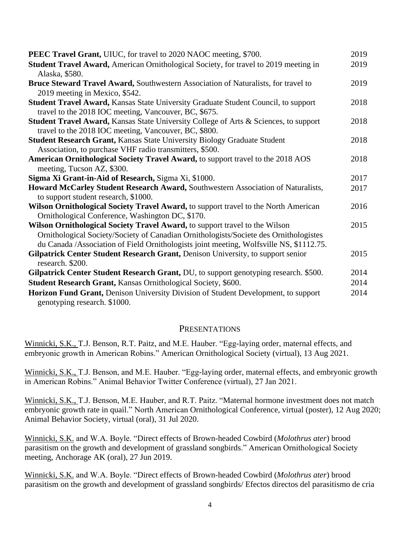| <b>PEEC Travel Grant, UIUC</b> , for travel to 2020 NAOC meeting, \$700.                        | 2019 |
|-------------------------------------------------------------------------------------------------|------|
| Student Travel Award, American Ornithological Society, for travel to 2019 meeting in            | 2019 |
| Alaska, \$580.                                                                                  |      |
| Bruce Steward Travel Award, Southwestern Association of Naturalists, for travel to              | 2019 |
| 2019 meeting in Mexico, \$542.                                                                  |      |
| <b>Student Travel Award, Kansas State University Graduate Student Council, to support</b>       | 2018 |
| travel to the 2018 IOC meeting, Vancouver, BC, \$675.                                           |      |
| <b>Student Travel Award, Kansas State University College of Arts &amp; Sciences, to support</b> | 2018 |
| travel to the 2018 IOC meeting, Vancouver, BC, \$800.                                           |      |
| <b>Student Research Grant, Kansas State University Biology Graduate Student</b>                 | 2018 |
| Association, to purchase VHF radio transmitters, \$500.                                         |      |
| American Ornithological Society Travel Award, to support travel to the 2018 AOS                 | 2018 |
| meeting, Tucson AZ, \$300.                                                                      |      |
| Sigma Xi Grant-in-Aid of Research, Sigma Xi, \$1000.                                            | 2017 |
| Howard McCarley Student Research Award, Southwestern Association of Naturalists,                | 2017 |
| to support student research, \$1000.                                                            |      |
| Wilson Ornithological Society Travel Award, to support travel to the North American             | 2016 |
| Ornithological Conference, Washington DC, \$170.                                                |      |
| Wilson Ornithological Society Travel Award, to support travel to the Wilson                     | 2015 |
| Ornithological Society/Society of Canadian Ornithologists/Societe des Ornithologistes           |      |
| du Canada /Association of Field Ornithologists joint meeting, Wolfsville NS, \$1112.75.         |      |
| Gilpatrick Center Student Research Grant, Denison University, to support senior                 | 2015 |
| research. \$200.                                                                                |      |
| Gilpatrick Center Student Research Grant, DU, to support genotyping research. \$500.            | 2014 |
| Student Research Grant, Kansas Ornithological Society, \$600.                                   | 2014 |
| Horizon Fund Grant, Denison University Division of Student Development, to support              | 2014 |
| genotyping research. \$1000.                                                                    |      |

#### **PRESENTATIONS**

Winnicki, S.K., T.J. Benson, R.T. Paitz, and M.E. Hauber. "Egg-laying order, maternal effects, and embryonic growth in American Robins." American Ornithological Society (virtual), 13 Aug 2021.

Winnicki, S.K., T.J. Benson, and M.E. Hauber. "Egg-laying order, maternal effects, and embryonic growth in American Robins." Animal Behavior Twitter Conference (virtual), 27 Jan 2021.

Winnicki, S.K., T.J. Benson, M.E. Hauber, and R.T. Paitz. "Maternal hormone investment does not match embryonic growth rate in quail." North American Ornithological Conference, virtual (poster), 12 Aug 2020; Animal Behavior Society, virtual (oral), 31 Jul 2020.

Winnicki, S.K. and W.A. Boyle. "Direct effects of Brown-headed Cowbird (*Molothrus ater*) brood parasitism on the growth and development of grassland songbirds." American Ornithological Society meeting, Anchorage AK (oral), 27 Jun 2019.

Winnicki, S.K. and W.A. Boyle. "Direct effects of Brown-headed Cowbird (*Molothrus ater*) brood parasitism on the growth and development of grassland songbirds/ Efectos directos del parasitismo de cria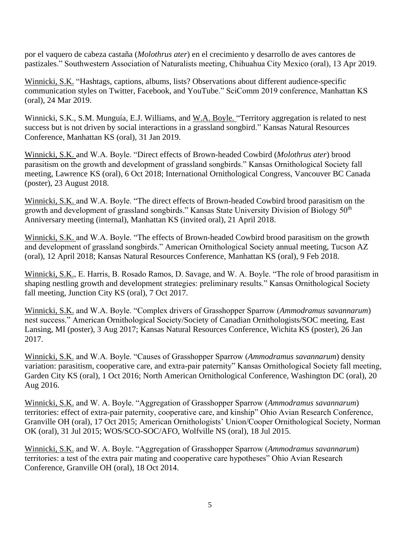por el vaquero de cabeza castaña (*Molothrus ater*) en el crecimiento y desarrollo de aves cantores de pastizales." Southwestern Association of Naturalists meeting, Chihuahua City Mexico (oral), 13 Apr 2019.

Winnicki, S.K. "Hashtags, captions, albums, lists? Observations about different audience-specific communication styles on Twitter, Facebook, and YouTube." SciComm 2019 conference, Manhattan KS (oral), 24 Mar 2019.

Winnicki, S.K., S.M. Munguía, E.J. Williams, and W.A. Boyle. "Territory aggregation is related to nest success but is not driven by social interactions in a grassland songbird." Kansas Natural Resources Conference, Manhattan KS (oral), 31 Jan 2019.

Winnicki, S.K. and W.A. Boyle. "Direct effects of Brown-headed Cowbird (*Molothrus ater*) brood parasitism on the growth and development of grassland songbirds." Kansas Ornithological Society fall meeting, Lawrence KS (oral), 6 Oct 2018; International Ornithological Congress, Vancouver BC Canada (poster), 23 August 2018.

Winnicki, S.K. and W.A. Boyle. "The direct effects of Brown-headed Cowbird brood parasitism on the growth and development of grassland songbirds." Kansas State University Division of Biology 50<sup>th</sup> Anniversary meeting (internal), Manhattan KS (invited oral), 21 April 2018.

Winnicki, S.K. and W.A. Boyle. "The effects of Brown-headed Cowbird brood parasitism on the growth and development of grassland songbirds." American Ornithological Society annual meeting, Tucson AZ (oral), 12 April 2018; Kansas Natural Resources Conference, Manhattan KS (oral), 9 Feb 2018.

Winnicki, S.K., E. Harris, B. Rosado Ramos, D. Savage, and W. A. Boyle. "The role of brood parasitism in shaping nestling growth and development strategies: preliminary results." Kansas Ornithological Society fall meeting, Junction City KS (oral), 7 Oct 2017.

Winnicki, S.K. and W.A. Boyle. "Complex drivers of Grasshopper Sparrow (*Ammodramus savannarum*) nest success." American Ornithological Society/Society of Canadian Ornithologists/SOC meeting, East Lansing, MI (poster), 3 Aug 2017; Kansas Natural Resources Conference, Wichita KS (poster), 26 Jan 2017.

Winnicki, S.K. and W.A. Boyle. "Causes of Grasshopper Sparrow (*Ammodramus savannarum*) density variation: parasitism, cooperative care, and extra-pair paternity" Kansas Ornithological Society fall meeting, Garden City KS (oral), 1 Oct 2016; North American Ornithological Conference, Washington DC (oral), 20 Aug 2016.

Winnicki, S.K. and W. A. Boyle. "Aggregation of Grasshopper Sparrow (*Ammodramus savannarum*) territories: effect of extra-pair paternity, cooperative care, and kinship" Ohio Avian Research Conference, Granville OH (oral), 17 Oct 2015; American Ornithologists' Union/Cooper Ornithological Society, Norman OK (oral), 31 Jul 2015; WOS/SCO-SOC/AFO, Wolfville NS (oral), 18 Jul 2015.

Winnicki, S.K. and W. A. Boyle. "Aggregation of Grasshopper Sparrow (*Ammodramus savannarum*) territories: a test of the extra pair mating and cooperative care hypotheses" Ohio Avian Research Conference, Granville OH (oral), 18 Oct 2014.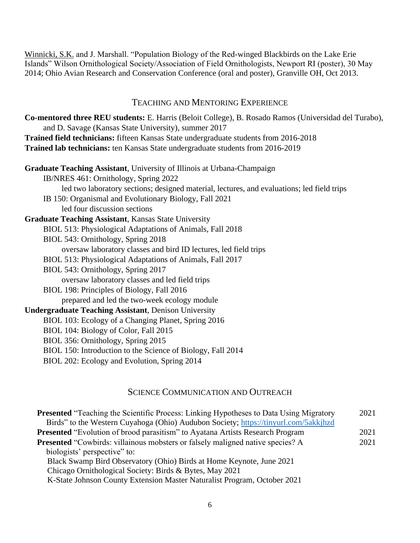Winnicki, S.K. and J. Marshall. "Population Biology of the Red-winged Blackbirds on the Lake Erie Islands" Wilson Ornithological Society/Association of Field Ornithologists, Newport RI (poster), 30 May 2014; Ohio Avian Research and Conservation Conference (oral and poster), Granville OH, Oct 2013.

#### TEACHING AND MENTORING EXPERIENCE

**Co-mentored three REU students:** E. Harris (Beloit College), B. Rosado Ramos (Universidad del Turabo), and D. Savage (Kansas State University), summer 2017 **Trained field technicians:** fifteen Kansas State undergraduate students from 2016-2018 **Trained lab technicians:** ten Kansas State undergraduate students from 2016-2019 **Graduate Teaching Assistant**, University of Illinois at Urbana-Champaign IB/NRES 461: Ornithology, Spring 2022 led two laboratory sections; designed material, lectures, and evaluations; led field trips IB 150: Organismal and Evolutionary Biology, Fall 2021 led four discussion sections **Graduate Teaching Assistant**, Kansas State University BIOL 513: Physiological Adaptations of Animals, Fall 2018 BIOL 543: Ornithology, Spring 2018 oversaw laboratory classes and bird ID lectures, led field trips BIOL 513: Physiological Adaptations of Animals, Fall 2017 BIOL 543: Ornithology, Spring 2017 oversaw laboratory classes and led field trips BIOL 198: Principles of Biology, Fall 2016 prepared and led the two-week ecology module **Undergraduate Teaching Assistant**, Denison University BIOL 103: Ecology of a Changing Planet, Spring 2016 BIOL 104: Biology of Color, Fall 2015 BIOL 356: Ornithology, Spring 2015 BIOL 150: Introduction to the Science of Biology, Fall 2014 BIOL 202: Ecology and Evolution, Spring 2014

## SCIENCE COMMUNICATION AND OUTREACH

| 2021 |
|------|
|      |
| 2021 |
| 2021 |
|      |
|      |
|      |
|      |
|      |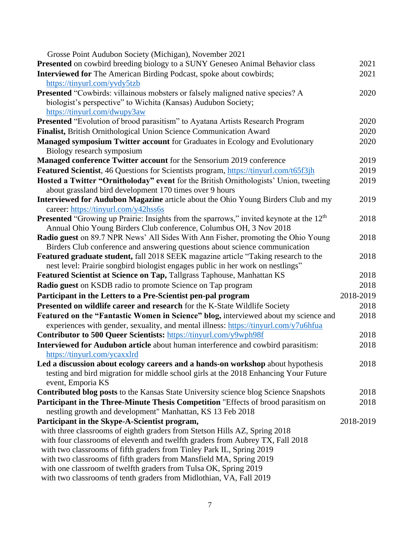| Grosse Point Audubon Society (Michigan), November 2021                                              |           |
|-----------------------------------------------------------------------------------------------------|-----------|
| Presented on cowbird breeding biology to a SUNY Geneseo Animal Behavior class                       | 2021      |
| Interviewed for The American Birding Podcast, spoke about cowbirds;                                 | 2021      |
| https://tinyurl.com/yvdy5tzb                                                                        |           |
| <b>Presented "Cowbirds: villainous mobsters or falsely maligned native species? A</b>               | 2020      |
| biologist's perspective" to Wichita (Kansas) Audubon Society;                                       |           |
| https://tinyurl.com/dwupy3aw                                                                        |           |
| Presented "Evolution of brood parasitism" to Ayatana Artists Research Program                       | 2020      |
| Finalist, British Ornithological Union Science Communication Award                                  | 2020      |
| Managed symposium Twitter account for Graduates in Ecology and Evolutionary                         | 2020      |
| Biology research symposium                                                                          |           |
| Managed conference Twitter account for the Sensorium 2019 conference                                | 2019      |
| <b>Featured Scientist</b> , 46 Questions for Scientists program, https://tinyurl.com/t65f3jh        | 2019      |
| Hosted a Twitter "Ornitholoday" event for the British Ornithologists' Union, tweeting               | 2019      |
| about grassland bird development 170 times over 9 hours                                             |           |
| Interviewed for Audubon Magazine article about the Ohio Young Birders Club and my                   | 2019      |
| career: https://tinyurl.com/y42hss6s                                                                |           |
| Presented "Growing up Prairie: Insights from the sparrows," invited keynote at the 12 <sup>th</sup> | 2018      |
| Annual Ohio Young Birders Club conference, Columbus OH, 3 Nov 2018                                  |           |
| Radio guest on 89.7 NPR News' All Sides With Ann Fisher, promoting the Ohio Young                   | 2018      |
| Birders Club conference and answering questions about science communication                         |           |
| <b>Featured graduate student, fall 2018 SEEK magazine article "Taking research to the</b>           | 2018      |
| nest level: Prairie songbird biologist engages public in her work on nestlings"                     |           |
| Featured Scientist at Science on Tap, Tallgrass Taphouse, Manhattan KS                              | 2018      |
| Radio guest on KSDB radio to promote Science on Tap program                                         | 2018      |
| Participant in the Letters to a Pre-Scientist pen-pal program                                       | 2018-2019 |
| Presented on wildlife career and research for the K-State Wildlife Society                          | 2018      |
| Featured on the "Fantastic Women in Science" blog, interviewed about my science and                 | 2018      |
| experiences with gender, sexuality, and mental illness: https://tinyurl.com/y7u6hfua                |           |
| Contributor to 500 Queer Scientists: https://tinyurl.com/y9wph98f                                   | 2018      |
| Interviewed for Audubon article about human interference and cowbird parasitism:                    | 2018      |
| https://tinyurl.com/ycaxxlrd                                                                        |           |
| Led a discussion about ecology careers and a hands-on workshop about hypothesis                     | 2018      |
| testing and bird migration for middle school girls at the 2018 Enhancing Your Future                |           |
| event, Emporia KS                                                                                   |           |
| <b>Contributed blog posts to the Kansas State University science blog Science Snapshots</b>         | 2018      |
| Participant in the Three-Minute Thesis Competition "Effects of brood parasitism on                  | 2018      |
| nestling growth and development" Manhattan, KS 13 Feb 2018                                          |           |
| Participant in the Skype-A-Scientist program,                                                       | 2018-2019 |
| with three classrooms of eighth graders from Stetson Hills AZ, Spring 2018                          |           |
| with four classrooms of eleventh and twelfth graders from Aubrey TX, Fall 2018                      |           |
| with two classrooms of fifth graders from Tinley Park IL, Spring 2019                               |           |
| with two classrooms of fifth graders from Mansfield MA, Spring 2019                                 |           |
| with one classroom of twelfth graders from Tulsa OK, Spring 2019                                    |           |
| with two classrooms of tenth graders from Midlothian, VA, Fall 2019                                 |           |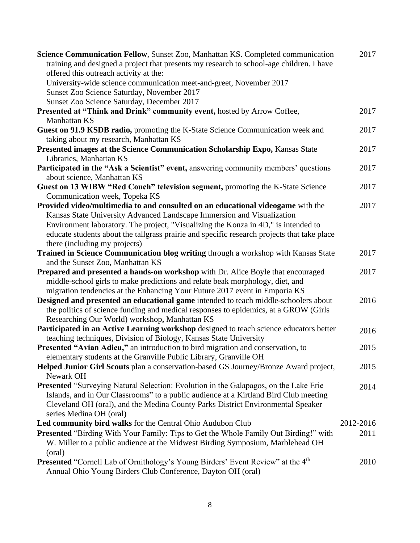| Science Communication Fellow, Sunset Zoo, Manhattan KS. Completed communication<br>training and designed a project that presents my research to school-age children. I have | 2017      |
|-----------------------------------------------------------------------------------------------------------------------------------------------------------------------------|-----------|
| offered this outreach activity at the:                                                                                                                                      |           |
| University-wide science communication meet-and-greet, November 2017                                                                                                         |           |
| Sunset Zoo Science Saturday, November 2017                                                                                                                                  |           |
| Sunset Zoo Science Saturday, December 2017                                                                                                                                  |           |
| Presented at "Think and Drink" community event, hosted by Arrow Coffee,                                                                                                     | 2017      |
| Manhattan KS                                                                                                                                                                |           |
| Guest on 91.9 KSDB radio, promoting the K-State Science Communication week and                                                                                              | 2017      |
| taking about my research, Manhattan KS                                                                                                                                      |           |
| Presented images at the Science Communication Scholarship Expo, Kansas State                                                                                                | 2017      |
| Libraries, Manhattan KS                                                                                                                                                     |           |
| Participated in the "Ask a Scientist" event, answering community members' questions                                                                                         | 2017      |
| about science, Manhattan KS<br>Guest on 13 WIBW "Red Couch" television segment, promoting the K-State Science                                                               | 2017      |
| Communication week, Topeka KS                                                                                                                                               |           |
| Provided video/multimedia to and consulted on an educational videogame with the                                                                                             | 2017      |
| Kansas State University Advanced Landscape Immersion and Visualization                                                                                                      |           |
| Environment laboratory. The project, "Visualizing the Konza in 4D," is intended to                                                                                          |           |
| educate students about the tallgrass prairie and specific research projects that take place                                                                                 |           |
| there (including my projects)                                                                                                                                               |           |
| Trained in Science Communication blog writing through a workshop with Kansas State                                                                                          | 2017      |
| and the Sunset Zoo, Manhattan KS                                                                                                                                            |           |
| Prepared and presented a hands-on workshop with Dr. Alice Boyle that encouraged                                                                                             | 2017      |
| middle-school girls to make predictions and relate beak morphology, diet, and                                                                                               |           |
| migration tendencies at the Enhancing Your Future 2017 event in Emporia KS                                                                                                  |           |
| Designed and presented an educational game intended to teach middle-schoolers about                                                                                         | 2016      |
| the politics of science funding and medical responses to epidemics, at a GROW (Girls                                                                                        |           |
| Researching Our World) workshop, Manhattan KS                                                                                                                               |           |
| Participated in an Active Learning workshop designed to teach science educators better                                                                                      | 2016      |
| teaching techniques, Division of Biology, Kansas State University                                                                                                           |           |
| Presented "Avian Adieu," an introduction to bird migration and conservation, to                                                                                             | 2015      |
| elementary students at the Granville Public Library, Granville OH                                                                                                           |           |
| Helped Junior Girl Scouts plan a conservation-based GS Journey/Bronze Award project,                                                                                        | 2015      |
| Newark OH                                                                                                                                                                   |           |
| <b>Presented "Surveying Natural Selection: Evolution in the Galapagos, on the Lake Erie</b>                                                                                 | 2014      |
| Islands, and in Our Classrooms" to a public audience at a Kirtland Bird Club meeting                                                                                        |           |
| Cleveland OH (oral), and the Medina County Parks District Environmental Speaker                                                                                             |           |
| series Medina OH (oral)                                                                                                                                                     |           |
| Led community bird walks for the Central Ohio Audubon Club                                                                                                                  | 2012-2016 |
| <b>Presented "Birding With Your Family: Tips to Get the Whole Family Out Birding!" with</b>                                                                                 | 2011      |
| W. Miller to a public audience at the Midwest Birding Symposium, Marblehead OH                                                                                              |           |
| (oral)                                                                                                                                                                      |           |
| <b>Presented</b> "Cornell Lab of Ornithology's Young Birders' Event Review" at the 4 <sup>th</sup>                                                                          | 2010      |
| Annual Ohio Young Birders Club Conference, Dayton OH (oral)                                                                                                                 |           |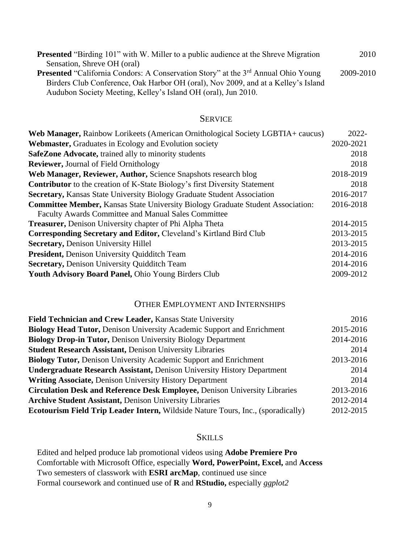| <b>Presented</b> "Birding 101" with W. Miller to a public audience at the Shreve Migration           | 2010      |
|------------------------------------------------------------------------------------------------------|-----------|
| Sensation, Shreve OH (oral)                                                                          |           |
| <b>Presented</b> "California Condors: A Conservation Story" at the 3 <sup>rd</sup> Annual Ohio Young | 2009-2010 |
| Birders Club Conference, Oak Harbor OH (oral), Nov 2009, and at a Kelley's Island                    |           |
| Audubon Society Meeting, Kelley's Island OH (oral), Jun 2010.                                        |           |

#### **SERVICE**

| Web Manager, Rainbow Lorikeets (American Ornithological Society LGBTIA+ caucus)        | 2022-     |
|----------------------------------------------------------------------------------------|-----------|
| <b>Webmaster, Graduates in Ecology and Evolution society</b>                           | 2020-2021 |
| <b>SafeZone Advocate, trained ally to minority students</b>                            | 2018      |
| <b>Reviewer, Journal of Field Ornithology</b>                                          | 2018      |
| Web Manager, Reviewer, Author, Science Snapshots research blog                         | 2018-2019 |
| <b>Contributor</b> to the creation of K-State Biology's first Diversity Statement      | 2018      |
| <b>Secretary, Kansas State University Biology Graduate Student Association</b>         | 2016-2017 |
| <b>Committee Member, Kansas State University Biology Graduate Student Association:</b> | 2016-2018 |
| Faculty Awards Committee and Manual Sales Committee                                    |           |
| <b>Treasurer, Denison University chapter of Phi Alpha Theta</b>                        | 2014-2015 |
| Corresponding Secretary and Editor, Cleveland's Kirtland Bird Club                     | 2013-2015 |
| <b>Secretary, Denison University Hillel</b>                                            | 2013-2015 |
| <b>President, Denison University Quidditch Team</b>                                    | 2014-2016 |
| <b>Secretary, Denison University Quidditch Team</b>                                    | 2014-2016 |
| Youth Advisory Board Panel, Ohio Young Birders Club                                    | 2009-2012 |
|                                                                                        |           |

## OTHER EMPLOYMENT AND INTERNSHIPS

| Field Technician and Crew Leader, Kansas State University                               | 2016      |
|-----------------------------------------------------------------------------------------|-----------|
| <b>Biology Head Tutor, Denison University Academic Support and Enrichment</b>           | 2015-2016 |
| <b>Biology Drop-in Tutor, Denison University Biology Department</b>                     | 2014-2016 |
| <b>Student Research Assistant, Denison University Libraries</b>                         | 2014      |
| <b>Biology Tutor, Denison University Academic Support and Enrichment</b>                | 2013-2016 |
| <b>Undergraduate Research Assistant, Denison University History Department</b>          | 2014      |
| <b>Writing Associate, Denison University History Department</b>                         | 2014      |
| <b>Circulation Desk and Reference Desk Employee, Denison University Libraries</b>       | 2013-2016 |
| <b>Archive Student Assistant, Denison University Libraries</b>                          | 2012-2014 |
| <b>Ecotourism Field Trip Leader Intern, Wildside Nature Tours, Inc., (sporadically)</b> | 2012-2015 |

## **SKILLS**

Edited and helped produce lab promotional videos using **Adobe Premiere Pro** Comfortable with Microsoft Office, especially **Word, PowerPoint, Excel,** and **Access** Two semesters of classwork with **ESRI arcMap**, continued use since Formal coursework and continued use of **R** and **RStudio,** especially *ggplot2*